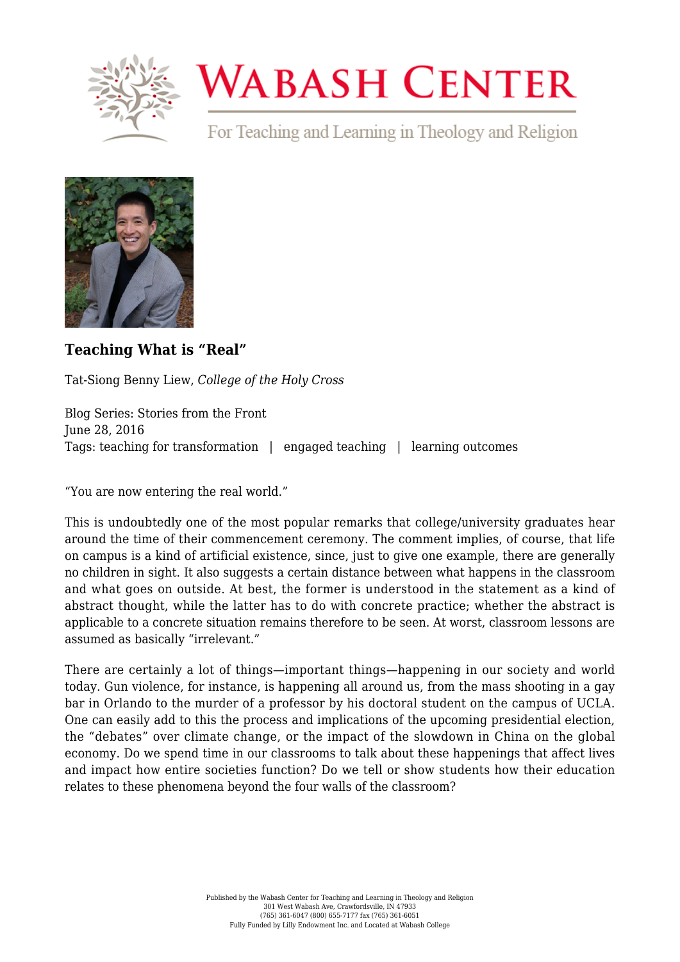

## **WABASH CENTER**

For Teaching and Learning in Theology and Religion



**[Teaching What is "Real"](https://www.wabashcenter.wabash.edu/2016/06/teaching-what-is-real/)**

Tat-Siong Benny Liew, *College of the Holy Cross*

Blog Series: Stories from the Front June 28, 2016 Tags: teaching for transformation | engaged teaching | learning outcomes

"You are now entering the real world."

This is undoubtedly one of the most popular remarks that college/university graduates hear around the time of their commencement ceremony. The comment implies, of course, that life on campus is a kind of artificial existence, since, just to give one example, there are generally no children in sight. It also suggests a certain distance between what happens in the classroom and what goes on outside. At best, the former is understood in the statement as a kind of abstract thought, while the latter has to do with concrete practice; whether the abstract is applicable to a concrete situation remains therefore to be seen. At worst, classroom lessons are assumed as basically "irrelevant."

There are certainly a lot of things—important things—happening in our society and world today. Gun violence, for instance, is happening all around us, from the mass shooting in a gay bar in Orlando to the murder of a professor by his doctoral student on the campus of UCLA. One can easily add to this the process and implications of the upcoming presidential election, the "debates" over climate change, or the impact of the slowdown in China on the global economy. Do we spend time in our classrooms to talk about these happenings that affect lives and impact how entire societies function? Do we tell or show students how their education relates to these phenomena beyond the four walls of the classroom?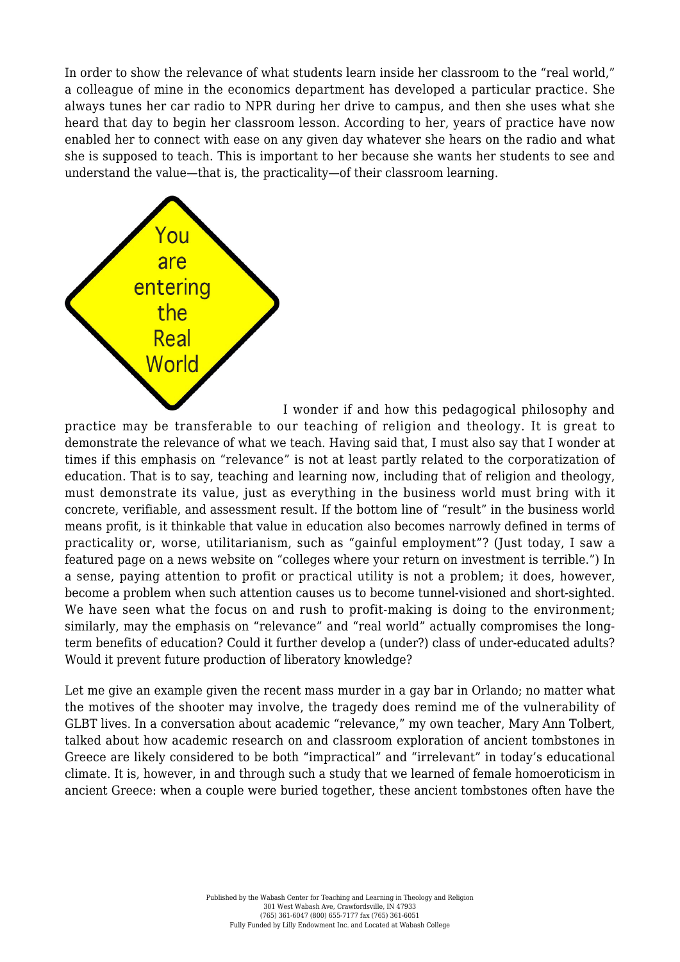In order to show the relevance of what students learn inside her classroom to the "real world," a colleague of mine in the economics department has developed a particular practice. She always tunes her car radio to NPR during her drive to campus, and then she uses what she heard that day to begin her classroom lesson. According to her, years of practice have now enabled her to connect with ease on any given day whatever she hears on the radio and what she is supposed to teach. This is important to her because she wants her students to see and understand the value—that is, the practicality—of their classroom learning.



I wonder if and how this pedagogical philosophy and

practice may be transferable to our teaching of religion and theology. It is great to demonstrate the relevance of what we teach. Having said that, I must also say that I wonder at times if this emphasis on "relevance" is not at least partly related to the corporatization of education. That is to say, teaching and learning now, including that of religion and theology, must demonstrate its value, just as everything in the business world must bring with it concrete, verifiable, and assessment result. If the bottom line of "result" in the business world means profit, is it thinkable that value in education also becomes narrowly defined in terms of practicality or, worse, utilitarianism, such as "gainful employment"? (Just today, I saw a featured page on a news website on "colleges where your return on investment is terrible.") In a sense, paying attention to profit or practical utility is not a problem; it does, however, become a problem when such attention causes us to become tunnel-visioned and short-sighted. We have seen what the focus on and rush to profit-making is doing to the environment; similarly, may the emphasis on "relevance" and "real world" actually compromises the longterm benefits of education? Could it further develop a (under?) class of under-educated adults? Would it prevent future production of liberatory knowledge?

Let me give an example given the recent mass murder in a gay bar in Orlando; no matter what the motives of the shooter may involve, the tragedy does remind me of the vulnerability of GLBT lives. In a conversation about academic "relevance," my own teacher, Mary Ann Tolbert, talked about how academic research on and classroom exploration of ancient tombstones in Greece are likely considered to be both "impractical" and "irrelevant" in today's educational climate. It is, however, in and through such a study that we learned of female homoeroticism in ancient Greece: when a couple were buried together, these ancient tombstones often have the